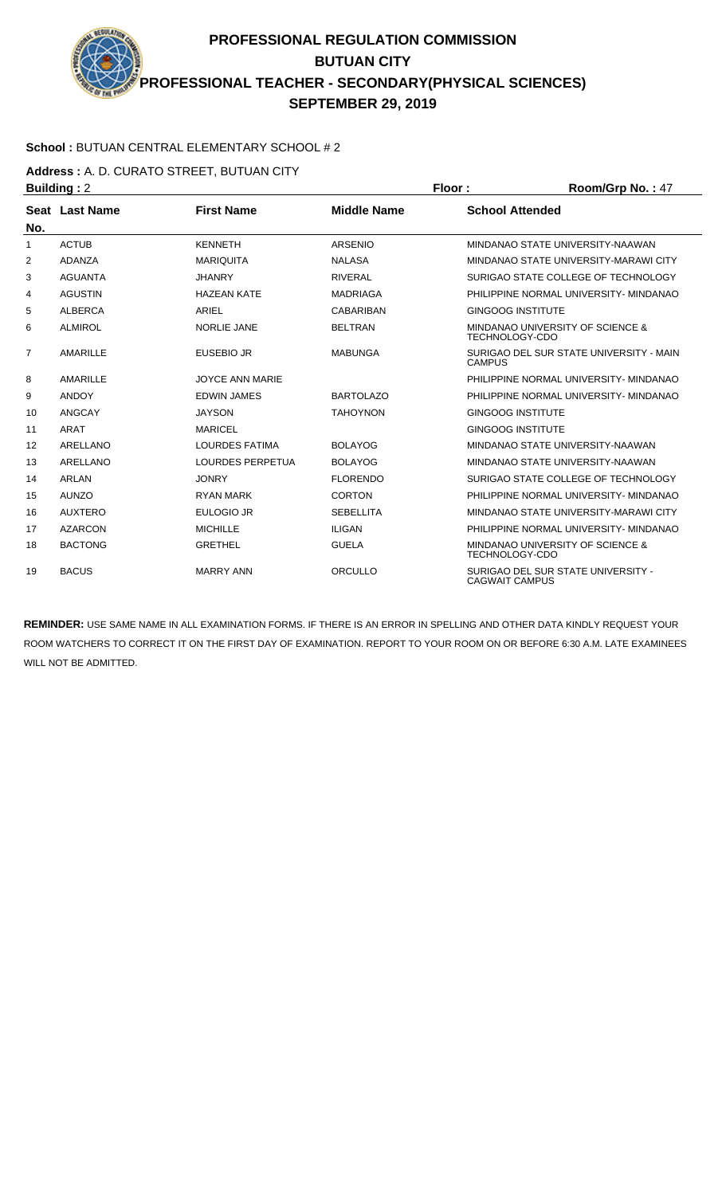### **School :** BUTUAN CENTRAL ELEMENTARY SCHOOL # 2

**Address :** A. D. CURATO STREET, BUTUAN CITY

| <b>Building: 2</b> |                 |                         |                    | Floor:                   | Room/Grp No.: 47                            |
|--------------------|-----------------|-------------------------|--------------------|--------------------------|---------------------------------------------|
|                    | Seat Last Name  | <b>First Name</b>       | <b>Middle Name</b> | <b>School Attended</b>   |                                             |
| No.                |                 |                         |                    |                          |                                             |
| 1                  | <b>ACTUB</b>    | <b>KENNETH</b>          | ARSENIO            |                          | MINDANAO STATE UNIVERSITY-NAAWAN            |
| 2                  | <b>ADANZA</b>   | <b>MARIQUITA</b>        | <b>NALASA</b>      |                          | MINDANAO STATE UNIVERSITY-MARAWI CITY       |
| 3                  | <b>AGUANTA</b>  | <b>JHANRY</b>           | <b>RIVERAL</b>     |                          | SURIGAO STATE COLLEGE OF TECHNOLOGY         |
| 4                  | <b>AGUSTIN</b>  | <b>HAZEAN KATE</b>      | <b>MADRIAGA</b>    |                          | PHILIPPINE NORMAL UNIVERSITY- MINDANAO      |
| 5                  | <b>ALBERCA</b>  | ARIEL                   | <b>CABARIBAN</b>   | <b>GINGOOG INSTITUTE</b> |                                             |
| 6                  | <b>ALMIROL</b>  | <b>NORLIE JANE</b>      | <b>BELTRAN</b>     | <b>TECHNOLOGY-CDO</b>    | <b>MINDANAO UNIVERSITY OF SCIENCE &amp;</b> |
| 7                  | <b>AMARILLE</b> | <b>EUSEBIO JR</b>       | <b>MABUNGA</b>     | <b>CAMPUS</b>            | SURIGAO DEL SUR STATE UNIVERSITY - MAIN     |
| 8                  | <b>AMARILLE</b> | <b>JOYCE ANN MARIE</b>  |                    |                          | PHILIPPINE NORMAL UNIVERSITY- MINDANAO      |
| 9                  | <b>ANDOY</b>    | <b>EDWIN JAMES</b>      | <b>BARTOLAZO</b>   |                          | PHILIPPINE NORMAL UNIVERSITY- MINDANAO      |
| 10                 | ANGCAY          | <b>JAYSON</b>           | <b>TAHOYNON</b>    | <b>GINGOOG INSTITUTE</b> |                                             |
| 11                 | ARAT            | <b>MARICEL</b>          |                    | <b>GINGOOG INSTITUTE</b> |                                             |
| $12 \overline{ }$  | <b>ARELLANO</b> | <b>LOURDES FATIMA</b>   | <b>BOLAYOG</b>     |                          | MINDANAO STATE UNIVERSITY-NAAWAN            |
| 13                 | <b>ARELLANO</b> | <b>LOURDES PERPETUA</b> | <b>BOLAYOG</b>     |                          | MINDANAO STATE UNIVERSITY-NAAWAN            |
| 14                 | <b>ARLAN</b>    | <b>JONRY</b>            | <b>FLORENDO</b>    |                          | SURIGAO STATE COLLEGE OF TECHNOLOGY         |
| 15                 | <b>AUNZO</b>    | <b>RYAN MARK</b>        | <b>CORTON</b>      |                          | PHILIPPINE NORMAL UNIVERSITY- MINDANAO      |
| 16                 | <b>AUXTERO</b>  | <b>EULOGIO JR</b>       | <b>SEBELLITA</b>   |                          | MINDANAO STATE UNIVERSITY-MARAWI CITY       |
| 17                 | <b>AZARCON</b>  | <b>MICHILLE</b>         | <b>ILIGAN</b>      |                          | PHILIPPINE NORMAL UNIVERSITY- MINDANAO      |
| 18                 | <b>BACTONG</b>  | <b>GRETHEL</b>          | <b>GUELA</b>       | <b>TECHNOLOGY-CDO</b>    | <b>MINDANAO UNIVERSITY OF SCIENCE &amp;</b> |
| 19                 | <b>BACUS</b>    | <b>MARRY ANN</b>        | ORCULLO            | <b>CAGWAIT CAMPUS</b>    | SURIGAO DEL SUR STATE UNIVERSITY -          |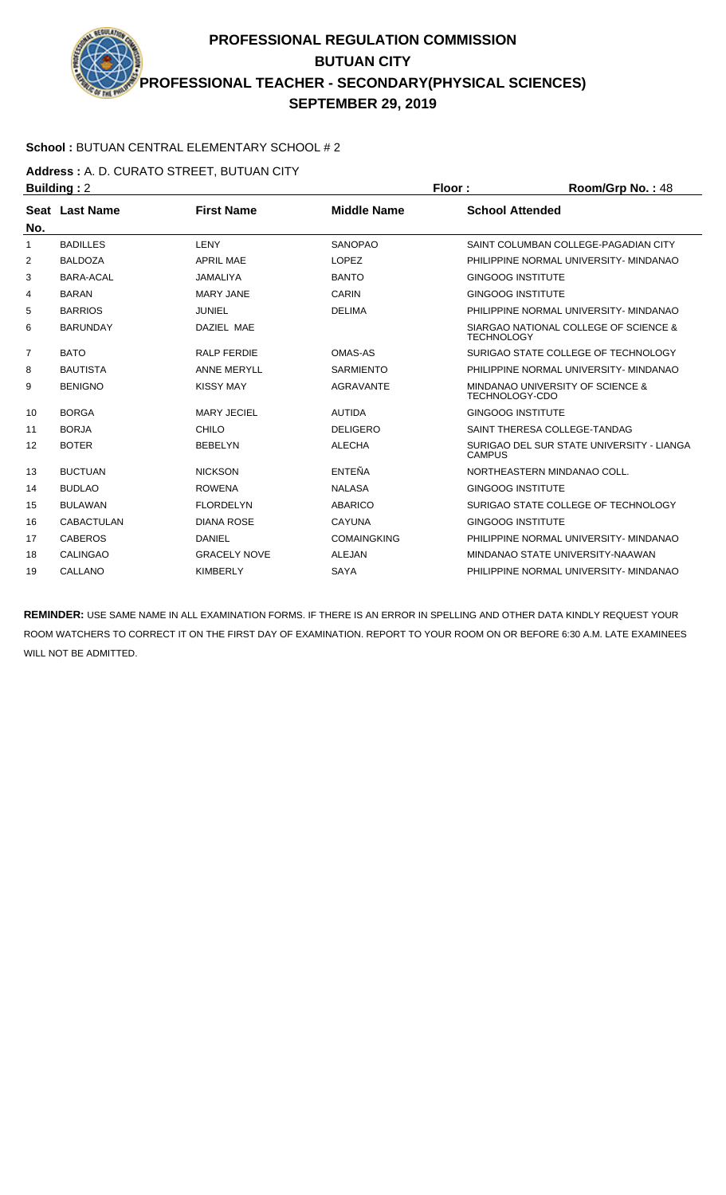### **School :** BUTUAN CENTRAL ELEMENTARY SCHOOL # 2

**Address :** A. D. CURATO STREET, BUTUAN CITY

| <b>Building: 2</b> |                   |                     |                    | Floor:<br>Room/Grp No.: 48                                 |  |
|--------------------|-------------------|---------------------|--------------------|------------------------------------------------------------|--|
|                    | Seat Last Name    | <b>First Name</b>   | <b>Middle Name</b> | <b>School Attended</b>                                     |  |
| No.                |                   |                     |                    |                                                            |  |
| 1                  | <b>BADILLES</b>   | LENY                | <b>SANOPAO</b>     | SAINT COLUMBAN COLLEGE-PAGADIAN CITY                       |  |
| 2                  | <b>BALDOZA</b>    | <b>APRIL MAE</b>    | LOPEZ              | PHILIPPINE NORMAL UNIVERSITY- MINDANAO                     |  |
| 3                  | <b>BARA-ACAL</b>  | <b>JAMALIYA</b>     | <b>BANTO</b>       | <b>GINGOOG INSTITUTE</b>                                   |  |
| 4                  | <b>BARAN</b>      | <b>MARY JANE</b>    | <b>CARIN</b>       | <b>GINGOOG INSTITUTE</b>                                   |  |
| 5                  | <b>BARRIOS</b>    | JUNIEL              | <b>DELIMA</b>      | PHILIPPINE NORMAL UNIVERSITY- MINDANAO                     |  |
| 6                  | <b>BARUNDAY</b>   | DAZIEL MAE          |                    | SIARGAO NATIONAL COLLEGE OF SCIENCE &<br><b>TECHNOLOGY</b> |  |
| $\overline{7}$     | <b>BATO</b>       | <b>RALP FERDIE</b>  | OMAS-AS            | SURIGAO STATE COLLEGE OF TECHNOLOGY                        |  |
| 8                  | <b>BAUTISTA</b>   | <b>ANNE MERYLL</b>  | <b>SARMIENTO</b>   | PHILIPPINE NORMAL UNIVERSITY- MINDANAO                     |  |
| 9                  | <b>BENIGNO</b>    | <b>KISSY MAY</b>    | <b>AGRAVANTE</b>   | MINDANAO UNIVERSITY OF SCIENCE &<br><b>TECHNOLOGY-CDO</b>  |  |
| 10                 | <b>BORGA</b>      | <b>MARY JECIEL</b>  | <b>AUTIDA</b>      | <b>GINGOOG INSTITUTE</b>                                   |  |
| 11                 | <b>BORJA</b>      | CHILO               | <b>DELIGERO</b>    | SAINT THERESA COLLEGE-TANDAG                               |  |
| 12                 | <b>BOTER</b>      | <b>BEBELYN</b>      | <b>ALECHA</b>      | SURIGAO DEL SUR STATE UNIVERSITY - LIANGA<br><b>CAMPUS</b> |  |
| 13                 | <b>BUCTUAN</b>    | <b>NICKSON</b>      | ENTEÑA             | NORTHEASTERN MINDANAO COLL.                                |  |
| 14                 | <b>BUDLAO</b>     | <b>ROWENA</b>       | <b>NALASA</b>      | <b>GINGOOG INSTITUTE</b>                                   |  |
| 15                 | <b>BULAWAN</b>    | <b>FLORDELYN</b>    | <b>ABARICO</b>     | SURIGAO STATE COLLEGE OF TECHNOLOGY                        |  |
| 16                 | <b>CABACTULAN</b> | <b>DIANA ROSE</b>   | <b>CAYUNA</b>      | <b>GINGOOG INSTITUTE</b>                                   |  |
| 17                 | <b>CABEROS</b>    | <b>DANIEL</b>       | <b>COMAINGKING</b> | PHILIPPINE NORMAL UNIVERSITY- MINDANAO                     |  |
| 18                 | <b>CALINGAO</b>   | <b>GRACELY NOVE</b> | <b>ALEJAN</b>      | MINDANAO STATE UNIVERSITY-NAAWAN                           |  |
| 19                 | CALLANO           | <b>KIMBERLY</b>     | <b>SAYA</b>        | PHILIPPINE NORMAL UNIVERSITY- MINDANAO                     |  |
|                    |                   |                     |                    |                                                            |  |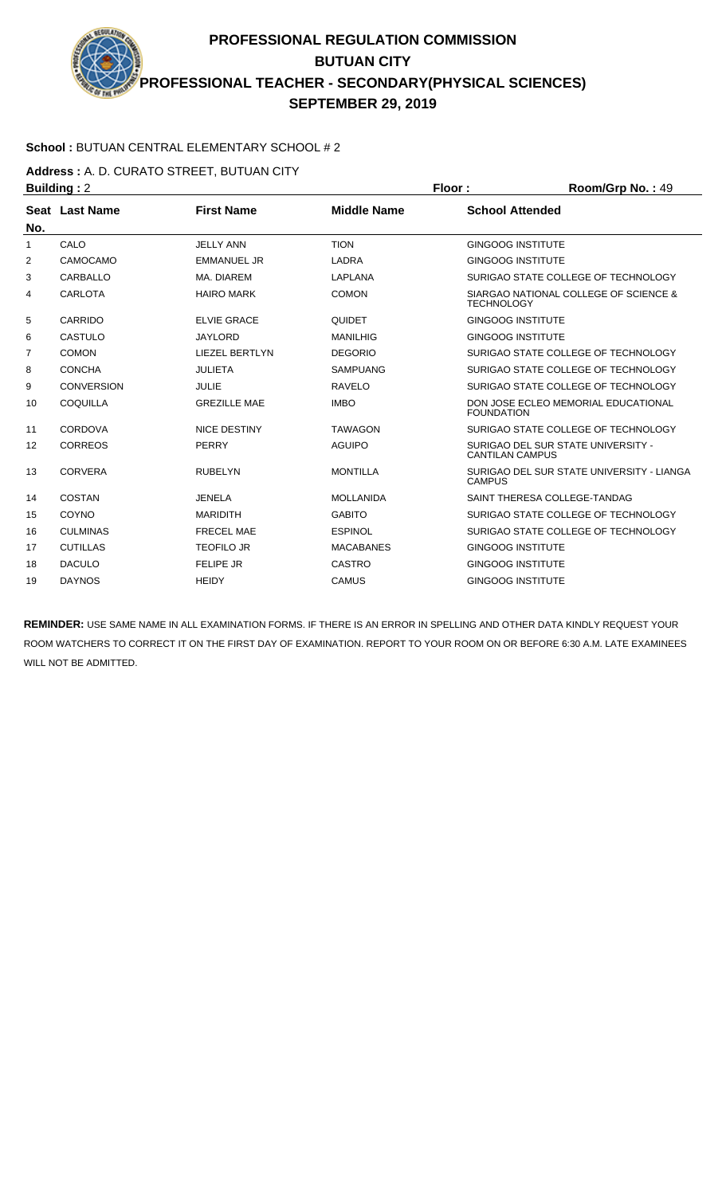### **School :** BUTUAN CENTRAL ELEMENTARY SCHOOL # 2

**Address :** A. D. CURATO STREET, BUTUAN CITY

| <b>Building: 2</b> |                   |                       |                    | Floor:                   | Room/Grp No.: 49                          |
|--------------------|-------------------|-----------------------|--------------------|--------------------------|-------------------------------------------|
|                    | Seat Last Name    | <b>First Name</b>     | <b>Middle Name</b> | <b>School Attended</b>   |                                           |
| No.                |                   |                       |                    |                          |                                           |
| 1                  | CALO              | <b>JELLY ANN</b>      | <b>TION</b>        | <b>GINGOOG INSTITUTE</b> |                                           |
| 2                  | CAMOCAMO          | <b>EMMANUEL JR</b>    | LADRA              | <b>GINGOOG INSTITUTE</b> |                                           |
| 3                  | CARBALLO          | MA. DIAREM            | <b>LAPLANA</b>     |                          | SURIGAO STATE COLLEGE OF TECHNOLOGY       |
| 4                  | CARLOTA           | <b>HAIRO MARK</b>     | <b>COMON</b>       | <b>TECHNOLOGY</b>        | SIARGAO NATIONAL COLLEGE OF SCIENCE &     |
| 5                  | CARRIDO           | <b>ELVIE GRACE</b>    | <b>QUIDET</b>      | <b>GINGOOG INSTITUTE</b> |                                           |
| 6                  | CASTULO           | <b>JAYLORD</b>        | <b>MANILHIG</b>    | <b>GINGOOG INSTITUTE</b> |                                           |
| 7                  | <b>COMON</b>      | <b>LIEZEL BERTLYN</b> | <b>DEGORIO</b>     |                          | SURIGAO STATE COLLEGE OF TECHNOLOGY       |
| 8                  | <b>CONCHA</b>     | <b>JULIETA</b>        | <b>SAMPUANG</b>    |                          | SURIGAO STATE COLLEGE OF TECHNOLOGY       |
| 9                  | <b>CONVERSION</b> | <b>JULIE</b>          | <b>RAVELO</b>      |                          | SURIGAO STATE COLLEGE OF TECHNOLOGY       |
| 10                 | COQUILLA          | <b>GREZILLE MAE</b>   | <b>IMBO</b>        | <b>FOUNDATION</b>        | DON JOSE ECLEO MEMORIAL EDUCATIONAL       |
| 11                 | CORDOVA           | <b>NICE DESTINY</b>   | <b>TAWAGON</b>     |                          | SURIGAO STATE COLLEGE OF TECHNOLOGY       |
| 12                 | <b>CORREOS</b>    | <b>PERRY</b>          | <b>AGUIPO</b>      | <b>CANTILAN CAMPUS</b>   | SURIGAO DEL SUR STATE UNIVERSITY -        |
| 13                 | <b>CORVERA</b>    | <b>RUBELYN</b>        | <b>MONTILLA</b>    | <b>CAMPUS</b>            | SURIGAO DEL SUR STATE UNIVERSITY - LIANGA |
| 14                 | COSTAN            | <b>JENELA</b>         | <b>MOLLANIDA</b>   |                          | SAINT THERESA COLLEGE-TANDAG              |
| 15                 | COYNO             | <b>MARIDITH</b>       | <b>GABITO</b>      |                          | SURIGAO STATE COLLEGE OF TECHNOLOGY       |
| 16                 | <b>CULMINAS</b>   | <b>FRECEL MAE</b>     | <b>ESPINOL</b>     |                          | SURIGAO STATE COLLEGE OF TECHNOLOGY       |
| 17                 | <b>CUTILLAS</b>   | <b>TEOFILO JR</b>     | <b>MACABANES</b>   | <b>GINGOOG INSTITUTE</b> |                                           |
| 18                 | <b>DACULO</b>     | <b>FELIPE JR</b>      | <b>CASTRO</b>      | <b>GINGOOG INSTITUTE</b> |                                           |
| 19                 | <b>DAYNOS</b>     | <b>HEIDY</b>          | <b>CAMUS</b>       | <b>GINGOOG INSTITUTE</b> |                                           |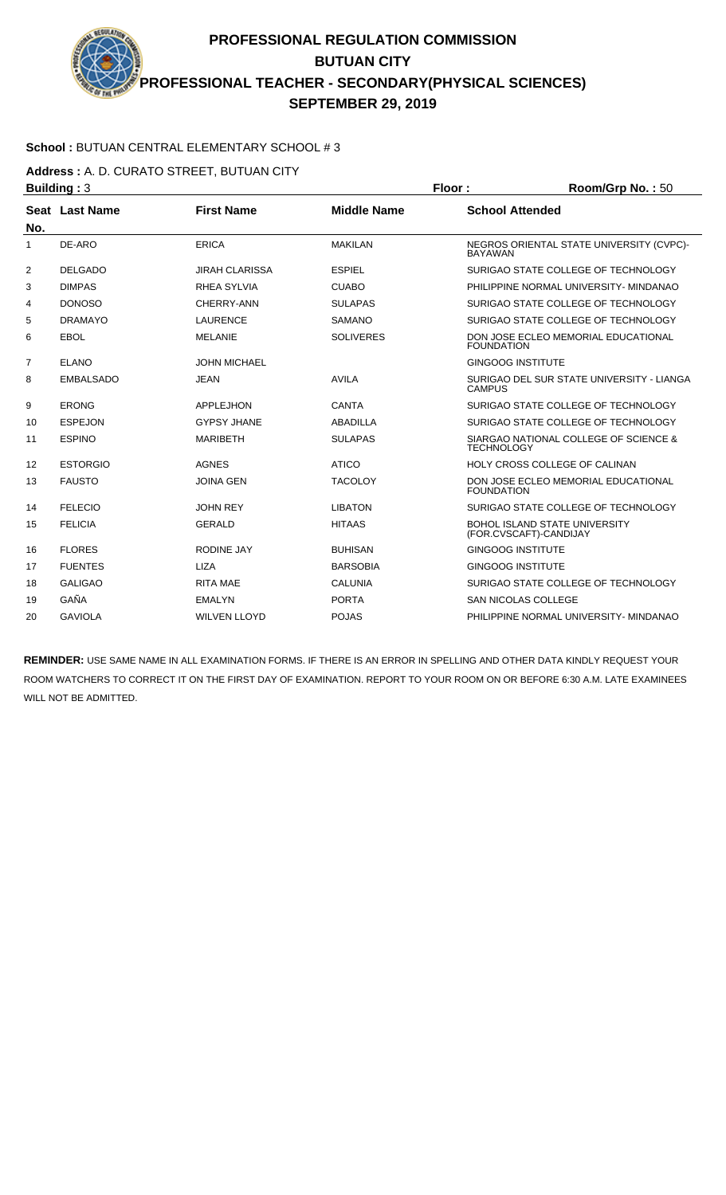### **School :** BUTUAN CENTRAL ELEMENTARY SCHOOL # 3

**Address :** A. D. CURATO STREET, BUTUAN CITY

|     | <b>Building: 3</b> |                       |                    | Floor:<br>Room/Grp No.: 50 |                                                                |  |
|-----|--------------------|-----------------------|--------------------|----------------------------|----------------------------------------------------------------|--|
|     | Seat Last Name     | <b>First Name</b>     | <b>Middle Name</b> | <b>School Attended</b>     |                                                                |  |
| No. |                    |                       |                    |                            |                                                                |  |
| 1   | DE-ARO             | <b>ERICA</b>          | <b>MAKILAN</b>     | <b>BAYAWAN</b>             | NEGROS ORIENTAL STATE UNIVERSITY (CVPC)-                       |  |
| 2   | <b>DELGADO</b>     | <b>JIRAH CLARISSA</b> | <b>ESPIEL</b>      |                            | SURIGAO STATE COLLEGE OF TECHNOLOGY                            |  |
| 3   | <b>DIMPAS</b>      | <b>RHEA SYLVIA</b>    | <b>CUABO</b>       |                            | PHILIPPINE NORMAL UNIVERSITY- MINDANAO                         |  |
| 4   | <b>DONOSO</b>      | CHERRY-ANN            | <b>SULAPAS</b>     |                            | SURIGAO STATE COLLEGE OF TECHNOLOGY                            |  |
| 5   | <b>DRAMAYO</b>     | <b>LAURENCE</b>       | <b>SAMANO</b>      |                            | SURIGAO STATE COLLEGE OF TECHNOLOGY                            |  |
| 6   | <b>EBOL</b>        | <b>MELANIE</b>        | <b>SOLIVERES</b>   | <b>FOUNDATION</b>          | DON JOSE ECLEO MEMORIAL EDUCATIONAL                            |  |
| 7   | <b>ELANO</b>       | <b>JOHN MICHAEL</b>   |                    | <b>GINGOOG INSTITUTE</b>   |                                                                |  |
| 8   | <b>EMBALSADO</b>   | <b>JEAN</b>           | <b>AVILA</b>       | <b>CAMPUS</b>              | SURIGAO DEL SUR STATE UNIVERSITY - LIANGA                      |  |
| 9   | <b>ERONG</b>       | <b>APPLEJHON</b>      | <b>CANTA</b>       |                            | SURIGAO STATE COLLEGE OF TECHNOLOGY                            |  |
| 10  | <b>ESPEJON</b>     | <b>GYPSY JHANE</b>    | ABADILLA           |                            | SURIGAO STATE COLLEGE OF TECHNOLOGY                            |  |
| 11  | <b>ESPINO</b>      | <b>MARIBETH</b>       | <b>SULAPAS</b>     | <b>TECHNOLOGY</b>          | SIARGAO NATIONAL COLLEGE OF SCIENCE &                          |  |
| 12  | <b>ESTORGIO</b>    | <b>AGNES</b>          | <b>ATICO</b>       |                            | HOLY CROSS COLLEGE OF CALINAN                                  |  |
| 13  | <b>FAUSTO</b>      | <b>JOINA GEN</b>      | <b>TACOLOY</b>     | <b>FOUNDATION</b>          | DON JOSE ECLEO MEMORIAL EDUCATIONAL                            |  |
| 14  | <b>FELECIO</b>     | <b>JOHN REY</b>       | <b>LIBATON</b>     |                            | SURIGAO STATE COLLEGE OF TECHNOLOGY                            |  |
| 15  | <b>FELICIA</b>     | <b>GERALD</b>         | <b>HITAAS</b>      |                            | <b>BOHOL ISLAND STATE UNIVERSITY</b><br>(FOR.CVSCAFT)-CANDIJAY |  |
| 16  | <b>FLORES</b>      | RODINE JAY            | <b>BUHISAN</b>     | <b>GINGOOG INSTITUTE</b>   |                                                                |  |
| 17  | <b>FUENTES</b>     | <b>LIZA</b>           | <b>BARSOBIA</b>    | <b>GINGOOG INSTITUTE</b>   |                                                                |  |
| 18  | <b>GALIGAO</b>     | <b>RITA MAE</b>       | <b>CALUNIA</b>     |                            | SURIGAO STATE COLLEGE OF TECHNOLOGY                            |  |
| 19  | GAÑA               | <b>EMALYN</b>         | <b>PORTA</b>       |                            | <b>SAN NICOLAS COLLEGE</b>                                     |  |
| 20  | <b>GAVIOLA</b>     | <b>WILVEN LLOYD</b>   | <b>POJAS</b>       |                            | PHILIPPINE NORMAL UNIVERSITY- MINDANAO                         |  |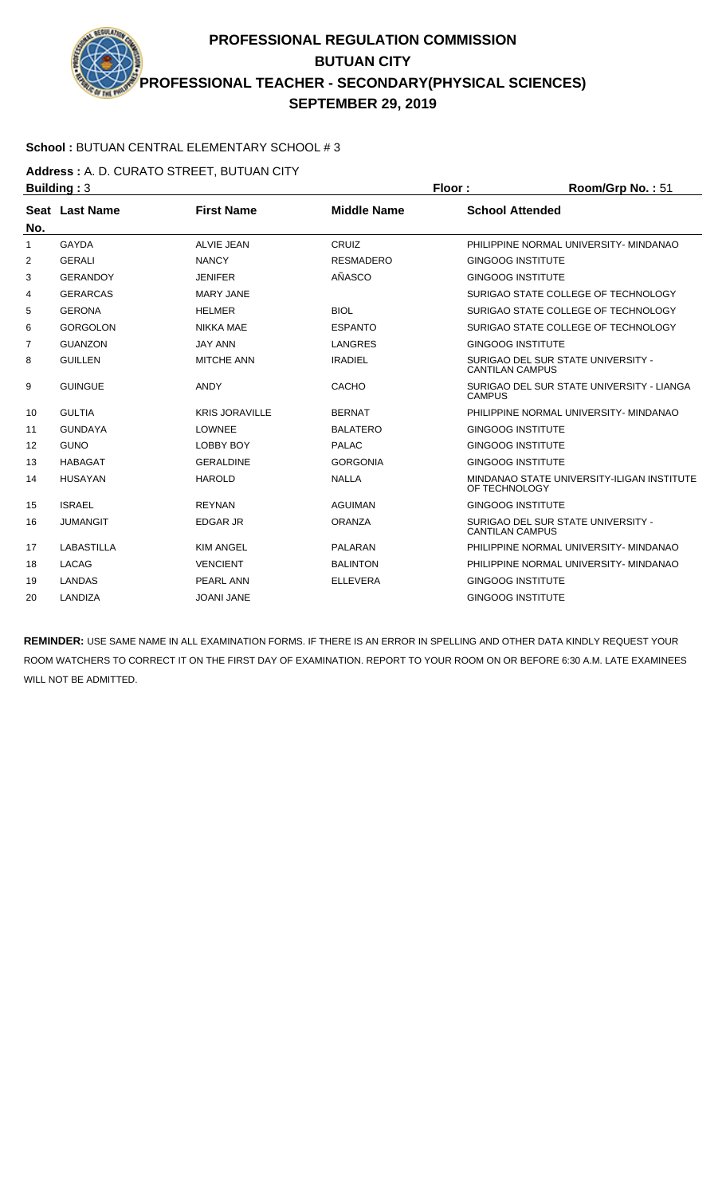#### **School :** BUTUAN CENTRAL ELEMENTARY SCHOOL # 3

**Address :** A. D. CURATO STREET, BUTUAN CITY

| <b>Building: 3</b> |                   |                       |                    | Floor:                   | Room/Grp No.: 51                           |  |
|--------------------|-------------------|-----------------------|--------------------|--------------------------|--------------------------------------------|--|
|                    | Seat Last Name    | <b>First Name</b>     | <b>Middle Name</b> | <b>School Attended</b>   |                                            |  |
| No.                |                   |                       |                    |                          |                                            |  |
| $\mathbf{1}$       | <b>GAYDA</b>      | <b>ALVIE JEAN</b>     | CRUIZ              |                          | PHILIPPINE NORMAL UNIVERSITY- MINDANAO     |  |
| 2                  | <b>GERALI</b>     | <b>NANCY</b>          | <b>RESMADERO</b>   | <b>GINGOOG INSTITUTE</b> |                                            |  |
| 3                  | <b>GERANDOY</b>   | <b>JENIFER</b>        | AÑASCO             | <b>GINGOOG INSTITUTE</b> |                                            |  |
| 4                  | <b>GERARCAS</b>   | <b>MARY JANE</b>      |                    |                          | SURIGAO STATE COLLEGE OF TECHNOLOGY        |  |
| 5                  | <b>GERONA</b>     | <b>HELMER</b>         | <b>BIOL</b>        |                          | SURIGAO STATE COLLEGE OF TECHNOLOGY        |  |
| 6                  | <b>GORGOLON</b>   | <b>NIKKA MAE</b>      | <b>ESPANTO</b>     |                          | SURIGAO STATE COLLEGE OF TECHNOLOGY        |  |
| 7                  | <b>GUANZON</b>    | <b>JAY ANN</b>        | <b>LANGRES</b>     | <b>GINGOOG INSTITUTE</b> |                                            |  |
| 8                  | <b>GUILLEN</b>    | <b>MITCHE ANN</b>     | <b>IRADIEL</b>     | <b>CANTILAN CAMPUS</b>   | SURIGAO DEL SUR STATE UNIVERSITY -         |  |
| 9                  | <b>GUINGUE</b>    | <b>ANDY</b>           | CACHO              | <b>CAMPUS</b>            | SURIGAO DEL SUR STATE UNIVERSITY - LIANGA  |  |
| 10                 | <b>GULTIA</b>     | <b>KRIS JORAVILLE</b> | <b>BERNAT</b>      |                          | PHILIPPINE NORMAL UNIVERSITY- MINDANAO     |  |
| 11                 | <b>GUNDAYA</b>    | <b>LOWNEE</b>         | <b>BALATERO</b>    | <b>GINGOOG INSTITUTE</b> |                                            |  |
| 12                 | <b>GUNO</b>       | <b>LOBBY BOY</b>      | <b>PALAC</b>       | <b>GINGOOG INSTITUTE</b> |                                            |  |
| 13                 | <b>HABAGAT</b>    | <b>GERALDINE</b>      | <b>GORGONIA</b>    | <b>GINGOOG INSTITUTE</b> |                                            |  |
| 14                 | <b>HUSAYAN</b>    | <b>HAROLD</b>         | <b>NALLA</b>       | OF TECHNOLOGY            | MINDANAO STATE UNIVERSITY-ILIGAN INSTITUTE |  |
| 15                 | <b>ISRAEL</b>     | <b>REYNAN</b>         | <b>AGUIMAN</b>     | <b>GINGOOG INSTITUTE</b> |                                            |  |
| 16                 | <b>JUMANGIT</b>   | <b>EDGAR JR</b>       | <b>ORANZA</b>      | <b>CANTILAN CAMPUS</b>   | SURIGAO DEL SUR STATE UNIVERSITY -         |  |
| 17                 | <b>LABASTILLA</b> | <b>KIM ANGEL</b>      | <b>PALARAN</b>     |                          | PHILIPPINE NORMAL UNIVERSITY- MINDANAO     |  |
| 18                 | <b>LACAG</b>      | <b>VENCIENT</b>       | <b>BALINTON</b>    |                          | PHILIPPINE NORMAL UNIVERSITY- MINDANAO     |  |
| 19                 | <b>LANDAS</b>     | <b>PEARL ANN</b>      | <b>ELLEVERA</b>    | <b>GINGOOG INSTITUTE</b> |                                            |  |
| 20                 | LANDIZA           | <b>JOANI JANE</b>     |                    | <b>GINGOOG INSTITUTE</b> |                                            |  |
|                    |                   |                       |                    |                          |                                            |  |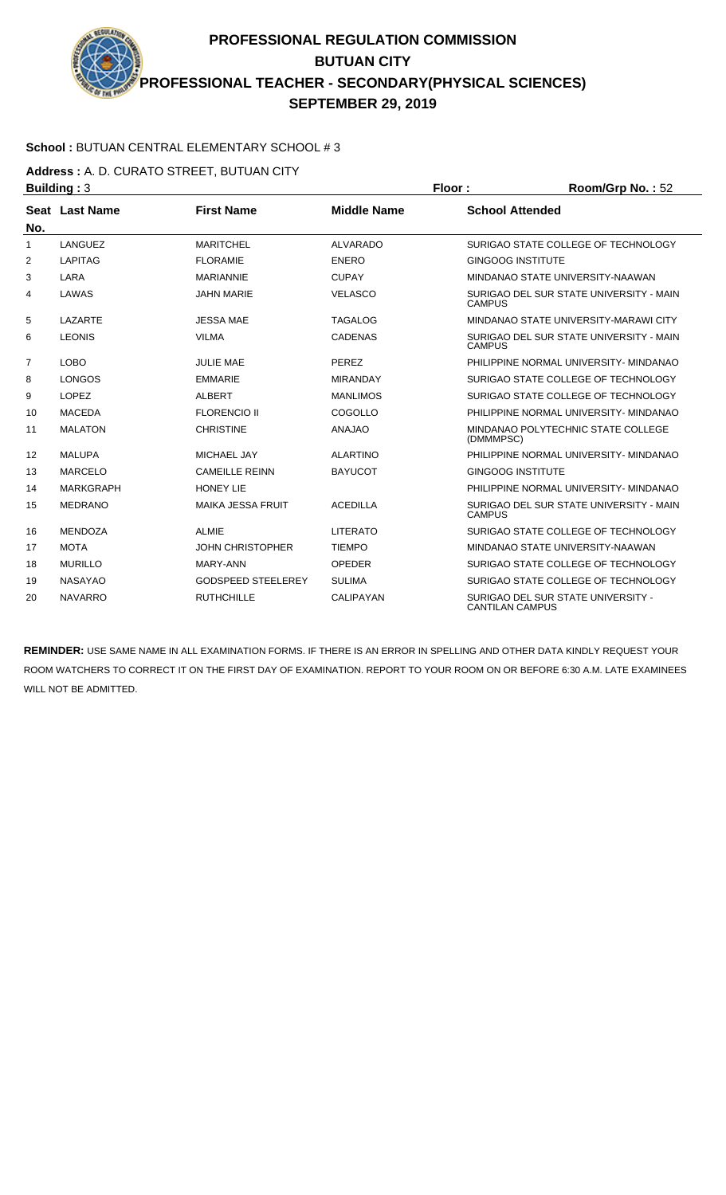#### **School :** BUTUAN CENTRAL ELEMENTARY SCHOOL # 3

**Address :** A. D. CURATO STREET, BUTUAN CITY

| <b>Building: 3</b> |                  |                           |                    | Floor:                   | Room/Grp No.: 52                        |
|--------------------|------------------|---------------------------|--------------------|--------------------------|-----------------------------------------|
|                    | Seat Last Name   | <b>First Name</b>         | <b>Middle Name</b> | <b>School Attended</b>   |                                         |
| No.                |                  |                           |                    |                          |                                         |
| 1                  | LANGUEZ          | <b>MARITCHEL</b>          | ALVARADO           |                          | SURIGAO STATE COLLEGE OF TECHNOLOGY     |
| 2                  | <b>LAPITAG</b>   | <b>FLORAMIE</b>           | <b>ENERO</b>       | <b>GINGOOG INSTITUTE</b> |                                         |
| 3                  | LARA             | <b>MARIANNIE</b>          | <b>CUPAY</b>       |                          | MINDANAO STATE UNIVERSITY-NAAWAN        |
| 4                  | LAWAS            | <b>JAHN MARIE</b>         | <b>VELASCO</b>     | <b>CAMPUS</b>            | SURIGAO DEL SUR STATE UNIVERSITY - MAIN |
| 5                  | LAZARTE          | <b>JESSA MAE</b>          | <b>TAGALOG</b>     |                          | MINDANAO STATE UNIVERSITY-MARAWI CITY   |
| 6                  | <b>LEONIS</b>    | <b>VILMA</b>              | <b>CADENAS</b>     | <b>CAMPUS</b>            | SURIGAO DEL SUR STATE UNIVERSITY - MAIN |
| 7                  | <b>LOBO</b>      | <b>JULIE MAE</b>          | <b>PEREZ</b>       |                          | PHILIPPINE NORMAL UNIVERSITY- MINDANAO  |
| 8                  | <b>LONGOS</b>    | <b>EMMARIE</b>            | <b>MIRANDAY</b>    |                          | SURIGAO STATE COLLEGE OF TECHNOLOGY     |
| 9                  | <b>LOPEZ</b>     | <b>ALBERT</b>             | <b>MANLIMOS</b>    |                          | SURIGAO STATE COLLEGE OF TECHNOLOGY     |
| 10                 | <b>MACEDA</b>    | <b>FLORENCIO II</b>       | COGOLLO            |                          | PHILIPPINE NORMAL UNIVERSITY- MINDANAO  |
| 11                 | <b>MALATON</b>   | <b>CHRISTINE</b>          | <b>ANAJAO</b>      | (DMMMPSC)                | MINDANAO POLYTECHNIC STATE COLLEGE      |
| 12                 | <b>MALUPA</b>    | <b>MICHAEL JAY</b>        | <b>ALARTINO</b>    |                          | PHILIPPINE NORMAL UNIVERSITY- MINDANAO  |
| 13                 | <b>MARCELO</b>   | <b>CAMEILLE REINN</b>     | <b>BAYUCOT</b>     | <b>GINGOOG INSTITUTE</b> |                                         |
| 14                 | <b>MARKGRAPH</b> | <b>HONEY LIE</b>          |                    |                          | PHILIPPINE NORMAL UNIVERSITY- MINDANAO  |
| 15                 | <b>MEDRANO</b>   | <b>MAIKA JESSA FRUIT</b>  | <b>ACEDILLA</b>    | <b>CAMPUS</b>            | SURIGAO DEL SUR STATE UNIVERSITY - MAIN |
| 16                 | <b>MENDOZA</b>   | <b>ALMIE</b>              | <b>LITERATO</b>    |                          | SURIGAO STATE COLLEGE OF TECHNOLOGY     |
| 17                 | <b>MOTA</b>      | <b>JOHN CHRISTOPHER</b>   | <b>TIEMPO</b>      |                          | MINDANAO STATE UNIVERSITY-NAAWAN        |
| 18                 | <b>MURILLO</b>   | MARY-ANN                  | <b>OPEDER</b>      |                          | SURIGAO STATE COLLEGE OF TECHNOLOGY     |
| 19                 | <b>NASAYAO</b>   | <b>GODSPEED STEELEREY</b> | <b>SULIMA</b>      |                          | SURIGAO STATE COLLEGE OF TECHNOLOGY     |
| 20                 | <b>NAVARRO</b>   | <b>RUTHCHILLE</b>         | <b>CALIPAYAN</b>   | <b>CANTILAN CAMPUS</b>   | SURIGAO DEL SUR STATE UNIVERSITY -      |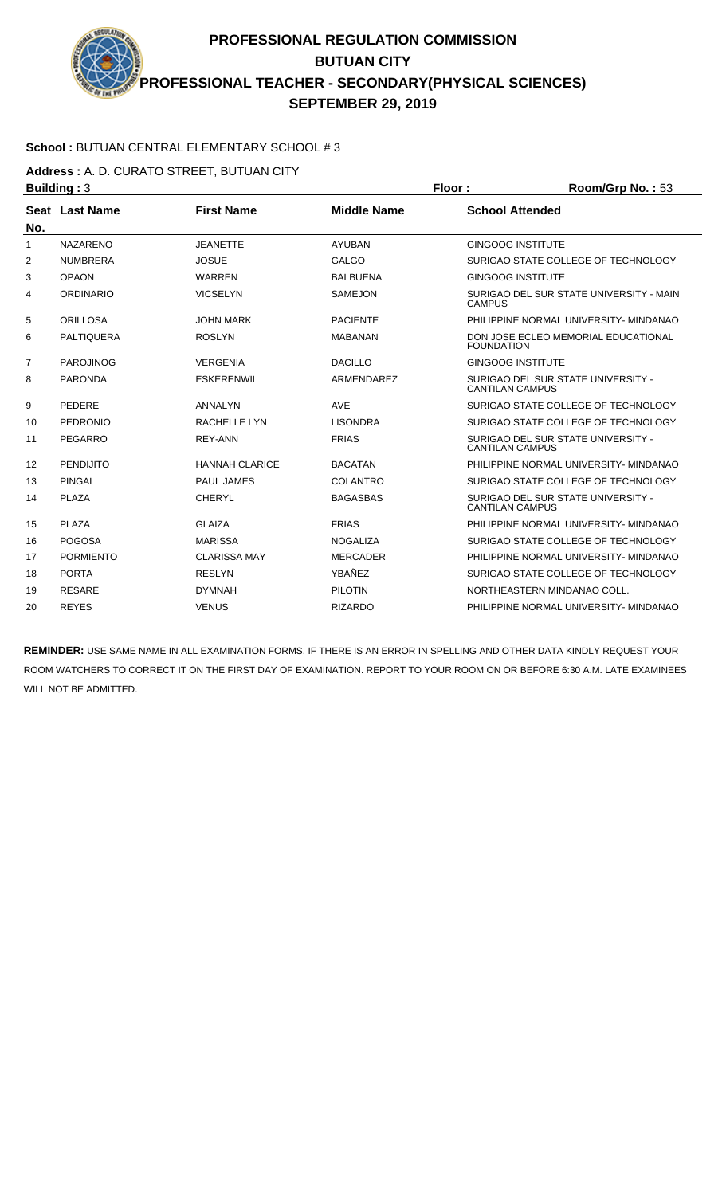#### **School :** BUTUAN CENTRAL ELEMENTARY SCHOOL # 3

**Address :** A. D. CURATO STREET, BUTUAN CITY

| <b>Building: 3</b> |                   |                       |                    | Floor:                   | Room/Grp No.: 53                        |
|--------------------|-------------------|-----------------------|--------------------|--------------------------|-----------------------------------------|
|                    | Seat Last Name    | <b>First Name</b>     | <b>Middle Name</b> | <b>School Attended</b>   |                                         |
| No.                |                   |                       |                    |                          |                                         |
| 1                  | <b>NAZARENO</b>   | <b>JEANETTE</b>       | <b>AYUBAN</b>      | <b>GINGOOG INSTITUTE</b> |                                         |
| 2                  | <b>NUMBRERA</b>   | <b>JOSUE</b>          | <b>GALGO</b>       |                          | SURIGAO STATE COLLEGE OF TECHNOLOGY     |
| 3                  | <b>OPAON</b>      | <b>WARREN</b>         | <b>BALBUENA</b>    | <b>GINGOOG INSTITUTE</b> |                                         |
| 4                  | <b>ORDINARIO</b>  | <b>VICSELYN</b>       | <b>SAMEJON</b>     | <b>CAMPUS</b>            | SURIGAO DEL SUR STATE UNIVERSITY - MAIN |
| 5                  | <b>ORILLOSA</b>   | <b>JOHN MARK</b>      | <b>PACIENTE</b>    |                          | PHILIPPINE NORMAL UNIVERSITY- MINDANAO  |
| 6                  | <b>PALTIQUERA</b> | <b>ROSLYN</b>         | <b>MABANAN</b>     | <b>FOUNDATION</b>        | DON JOSE ECLEO MEMORIAL EDUCATIONAL     |
| $\overline{7}$     | <b>PAROJINOG</b>  | <b>VERGENIA</b>       | <b>DACILLO</b>     | <b>GINGOOG INSTITUTE</b> |                                         |
| 8                  | <b>PARONDA</b>    | <b>ESKERENWIL</b>     | ARMENDAREZ         | <b>CANTILAN CAMPUS</b>   | SURIGAO DEL SUR STATE UNIVERSITY -      |
| 9                  | <b>PEDERE</b>     | ANNALYN               | <b>AVE</b>         |                          | SURIGAO STATE COLLEGE OF TECHNOLOGY     |
| 10                 | <b>PEDRONIO</b>   | <b>RACHELLE LYN</b>   | <b>LISONDRA</b>    |                          | SURIGAO STATE COLLEGE OF TECHNOLOGY     |
| 11                 | PEGARRO           | <b>REY-ANN</b>        | <b>FRIAS</b>       | <b>CANTILAN CAMPUS</b>   | SURIGAO DEL SUR STATE UNIVERSITY -      |
| 12                 | <b>PENDIJITO</b>  | <b>HANNAH CLARICE</b> | <b>BACATAN</b>     |                          | PHILIPPINE NORMAL UNIVERSITY- MINDANAO  |
| 13                 | <b>PINGAL</b>     | <b>PAUL JAMES</b>     | COLANTRO           |                          | SURIGAO STATE COLLEGE OF TECHNOLOGY     |
| 14                 | PLAZA             | <b>CHERYL</b>         | <b>BAGASBAS</b>    | <b>CANTILAN CAMPUS</b>   | SURIGAO DEL SUR STATE UNIVERSITY -      |
| 15                 | PLAZA             | <b>GLAIZA</b>         | <b>FRIAS</b>       |                          | PHILIPPINE NORMAL UNIVERSITY- MINDANAO  |
| 16                 | <b>POGOSA</b>     | <b>MARISSA</b>        | <b>NOGALIZA</b>    |                          | SURIGAO STATE COLLEGE OF TECHNOLOGY     |
| 17                 | <b>PORMIENTO</b>  | <b>CLARISSA MAY</b>   | <b>MERCADER</b>    |                          | PHILIPPINE NORMAL UNIVERSITY- MINDANAO  |
| 18                 | <b>PORTA</b>      | <b>RESLYN</b>         | YBAÑEZ             |                          | SURIGAO STATE COLLEGE OF TECHNOLOGY     |
| 19                 | <b>RESARE</b>     | <b>DYMNAH</b>         | <b>PILOTIN</b>     |                          | NORTHEASTERN MINDANAO COLL.             |
| 20                 | <b>REYES</b>      | <b>VENUS</b>          | <b>RIZARDO</b>     |                          | PHILIPPINE NORMAL UNIVERSITY- MINDANAO  |